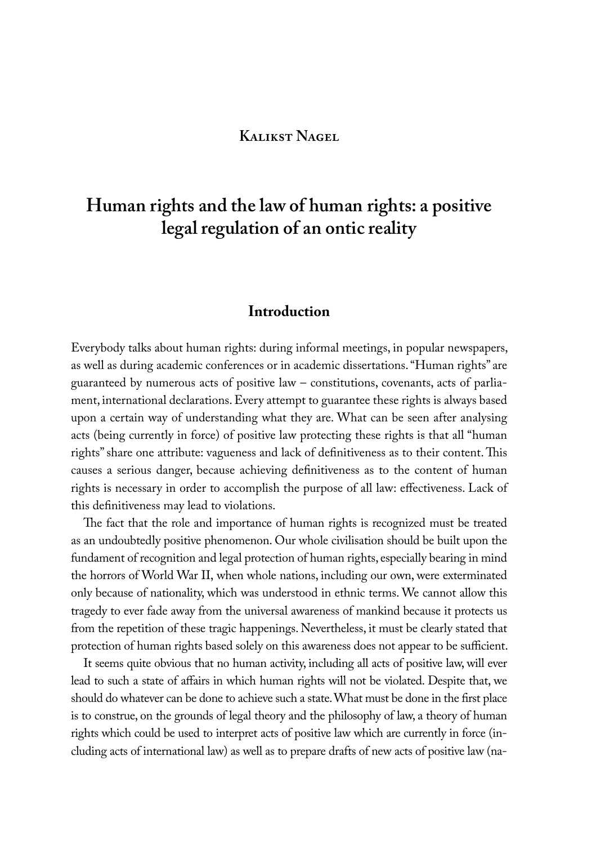## **Kalikst Nagel**

# **Human rights and the law of human rights: a positive legal regulation of an ontic reality**

## **Introduction**

Everybody talks about human rights: during informal meetings, in popular newspapers, as well as during academic conferences or in academic dissertations. "Human rights" are guaranteed by numerous acts of positive law – constitutions, covenants, acts of parliament, international declarations. Every attempt to guarantee these rights is always based upon a certain way of understanding what they are. What can be seen after analysing acts (being currently in force) of positive law protecting these rights is that all "human rights" share one attribute: vagueness and lack of definitiveness as to their content. This causes a serious danger, because achieving definitiveness as to the content of human rights is necessary in order to accomplish the purpose of all law: effectiveness. Lack of this definitiveness may lead to violations.

The fact that the role and importance of human rights is recognized must be treated as an undoubtedly positive phenomenon. Our whole civilisation should be built upon the fundament of recognition and legal protection of human rights, especially bearing in mind the horrors of World War II, when whole nations, including our own, were exterminated only because of nationality, which was understood in ethnic terms. We cannot allow this tragedy to ever fade away from the universal awareness of mankind because it protects us from the repetition of these tragic happenings. Nevertheless, it must be clearly stated that protection of human rights based solely on this awareness does not appear to be sufficient.

It seems quite obvious that no human activity, including all acts of positive law, will ever lead to such a state of affairs in which human rights will not be violated. Despite that, we should do whatever can be done to achieve such a state. What must be done in the first place is to construe, on the grounds of legal theory and the philosophy of law, a theory of human rights which could be used to interpret acts of positive law which are currently in force (including acts of international law) as well as to prepare drafts of new acts of positive law (na-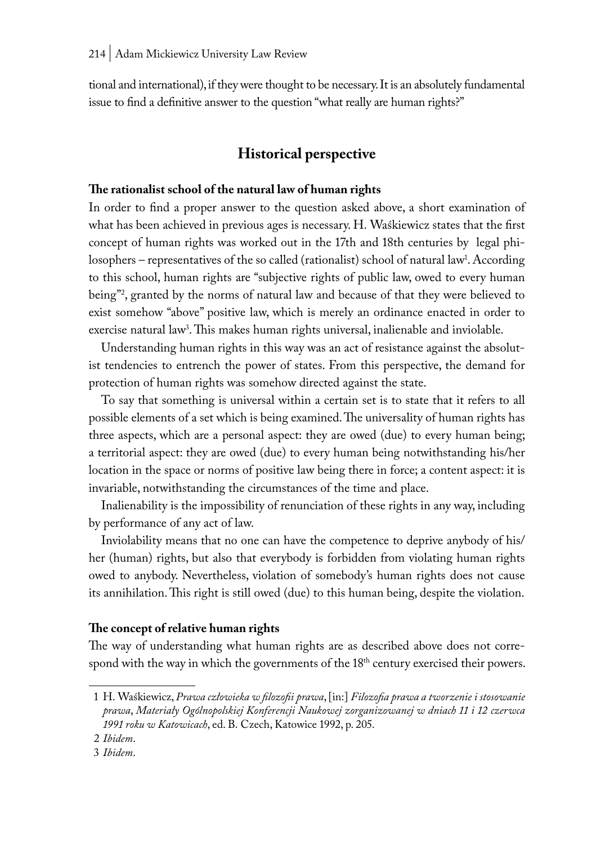tional and international), if they were thought to be necessary. It is an absolutely fundamental issue to find a definitive answer to the question "what really are human rights?"

## **Historical perspective**

### **The rationalist school of the natural law of human rights**

In order to find a proper answer to the question asked above, a short examination of what has been achieved in previous ages is necessary. H. Waśkiewicz states that the first concept of human rights was worked out in the 17th and 18th centuries by legal philosophers – representatives of the so called (rationalist) school of natural law<sup>1</sup>. According to this school, human rights are "subjective rights of public law, owed to every human being"2 , granted by the norms of natural law and because of that they were believed to exist somehow "above" positive law, which is merely an ordinance enacted in order to exercise natural law<sup>3</sup>. This makes human rights universal, inalienable and inviolable.

Understanding human rights in this way was an act of resistance against the absolutist tendencies to entrench the power of states. From this perspective, the demand for protection of human rights was somehow directed against the state.

To say that something is universal within a certain set is to state that it refers to all possible elements of a set which is being examined. The universality of human rights has three aspects, which are a personal aspect: they are owed (due) to every human being; a territorial aspect: they are owed (due) to every human being notwithstanding his/her location in the space or norms of positive law being there in force; a content aspect: it is invariable, notwithstanding the circumstances of the time and place.

Inalienability is the impossibility of renunciation of these rights in any way, including by performance of any act of law.

Inviolability means that no one can have the competence to deprive anybody of his/ her (human) rights, but also that everybody is forbidden from violating human rights owed to anybody. Nevertheless, violation of somebody's human rights does not cause its annihilation. This right is still owed (due) to this human being, despite the violation.

#### **The concept of relative human rights**

The way of understanding what human rights are as described above does not correspond with the way in which the governments of the 18<sup>th</sup> century exercised their powers.

<sup>1</sup> H. Waśkiewicz, *Prawa człowieka w filozofii prawa*, [in:] *Filozofia prawa a tworzenie i stosowanie prawa*, *Materiały Ogólnopolskiej Konferencji Naukowej zorganizowanej w dniach 11 i 12 czerwca 1991 roku w Katowicach*, ed. B. Czech, Katowice 1992, p. 205.

<sup>2</sup> *Ibidem*.

<sup>3</sup> *Ibidem*.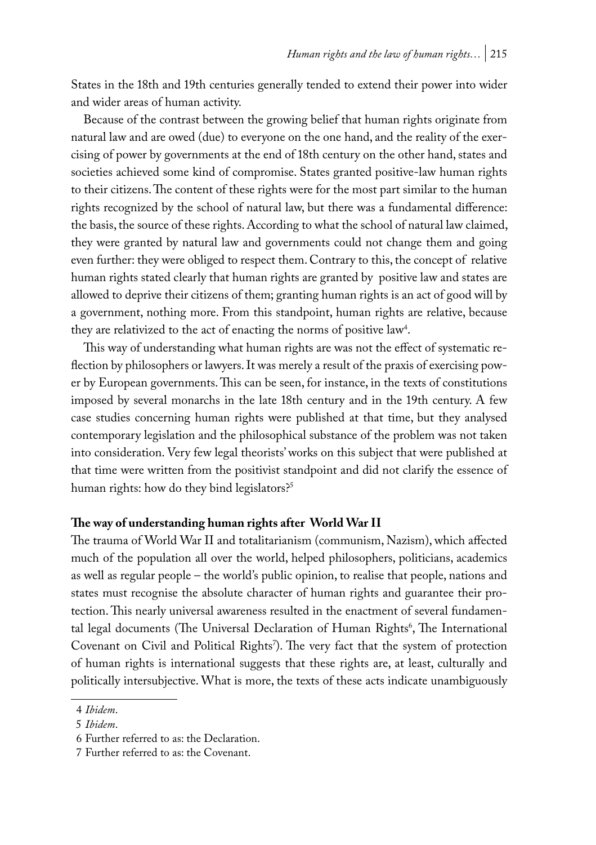States in the 18th and 19th centuries generally tended to extend their power into wider and wider areas of human activity.

Because of the contrast between the growing belief that human rights originate from natural law and are owed (due) to everyone on the one hand, and the reality of the exercising of power by governments at the end of 18th century on the other hand, states and societies achieved some kind of compromise. States granted positive-law human rights to their citizens. The content of these rights were for the most part similar to the human rights recognized by the school of natural law, but there was a fundamental difference: the basis, the source of these rights. According to what the school of natural law claimed, they were granted by natural law and governments could not change them and going even further: they were obliged to respect them. Contrary to this, the concept of relative human rights stated clearly that human rights are granted by positive law and states are allowed to deprive their citizens of them; granting human rights is an act of good will by a government, nothing more. From this standpoint, human rights are relative, because they are relativized to the act of enacting the norms of positive law<sup>4</sup>.

This way of understanding what human rights are was not the effect of systematic reflection by philosophers or lawyers. It was merely a result of the praxis of exercising power by European governments. This can be seen, for instance, in the texts of constitutions imposed by several monarchs in the late 18th century and in the 19th century. A few case studies concerning human rights were published at that time, but they analysed contemporary legislation and the philosophical substance of the problem was not taken into consideration. Very few legal theorists' works on this subject that were published at that time were written from the positivist standpoint and did not clarify the essence of human rights: how do they bind legislators?<sup>5</sup>

## **The way of understanding human rights after World War II**

The trauma of World War II and totalitarianism (communism, Nazism), which affected much of the population all over the world, helped philosophers, politicians, academics as well as regular people – the world's public opinion, to realise that people, nations and states must recognise the absolute character of human rights and guarantee their protection. This nearly universal awareness resulted in the enactment of several fundamental legal documents (The Universal Declaration of Human Rights<sup>6</sup>, The International Covenant on Civil and Political Rights'). The very fact that the system of protection of human rights is international suggests that these rights are, at least, culturally and politically intersubjective. What is more, the texts of these acts indicate unambiguously

<sup>4</sup> *Ibidem*.

<sup>5</sup> *Ibidem*.

<sup>6</sup> Further referred to as: the Declaration.

<sup>7</sup> Further referred to as: the Covenant.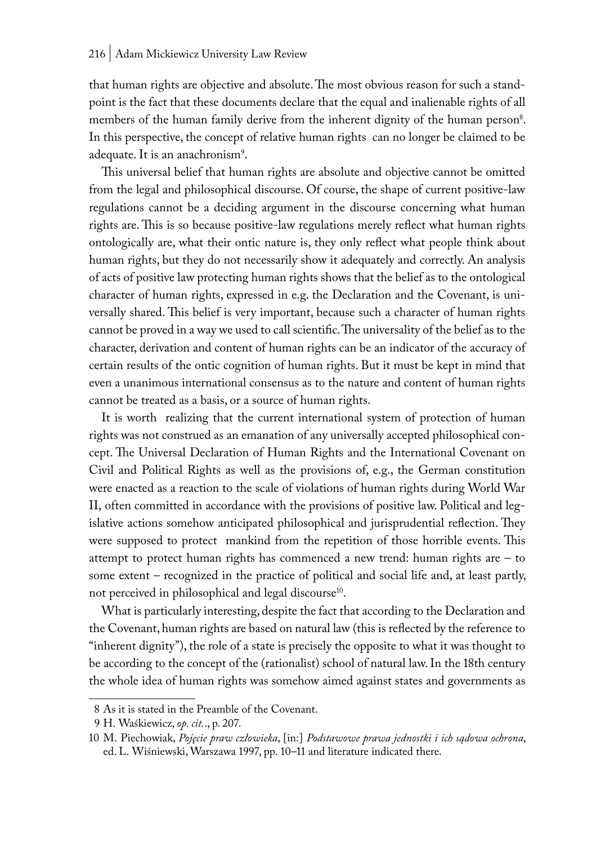that human rights are objective and absolute. The most obvious reason for such a standpoint is the fact that these documents declare that the equal and inalienable rights of all members of the human family derive from the inherent dignity of the human person<sup>8</sup>. In this perspective, the concept of relative human rights can no longer be claimed to be adequate. It is an anachronism<sup>9</sup>.

This universal belief that human rights are absolute and objective cannot be omitted from the legal and philosophical discourse. Of course, the shape of current positive-law regulations cannot be a deciding argument in the discourse concerning what human rights are. This is so because positive-law regulations merely reflect what human rights ontologically are, what their ontic nature is, they only reflect what people think about human rights, but they do not necessarily show it adequately and correctly. An analysis of acts of positive law protecting human rights shows that the belief as to the ontological character of human rights, expressed in e.g. the Declaration and the Covenant, is universally shared. This belief is very important, because such a character of human rights cannot be proved in a way we used to call scientific. The universality of the belief as to the character, derivation and content of human rights can be an indicator of the accuracy of certain results of the ontic cognition of human rights. But it must be kept in mind that even a unanimous international consensus as to the nature and content of human rights cannot be treated as a basis, or a source of human rights.

It is worth realizing that the current international system of protection of human rights was not construed as an emanation of any universally accepted philosophical concept. The Universal Declaration of Human Rights and the International Covenant on Civil and Political Rights as well as the provisions of, e.g., the German constitution were enacted as a reaction to the scale of violations of human rights during World War II, often committed in accordance with the provisions of positive law. Political and legislative actions somehow anticipated philosophical and jurisprudential reflection. They were supposed to protect mankind from the repetition of those horrible events. This attempt to protect human rights has commenced a new trend: human rights are – to some extent – recognized in the practice of political and social life and, at least partly, not perceived in philosophical and legal discourse<sup>10</sup>.

What is particularly interesting, despite the fact that according to the Declaration and the Covenant, human rights are based on natural law (this is reflected by the reference to "inherent dignity"), the role of a state is precisely the opposite to what it was thought to be according to the concept of the (rationalist) school of natural law. In the 18th century the whole idea of human rights was somehow aimed against states and governments as

<sup>8</sup> As it is stated in the Preamble of the Covenant.

<sup>9</sup> H. Waśkiewicz, *op. cit.*., p. 207.

<sup>10</sup> M. Piechowiak, *Pojęcie praw człowieka*, [in:] *Podstawowe prawa jednostki i ich sądowa ochrona*, ed. L. Wiśniewski, Warszawa 1997, pp. 10–11 and literature indicated there.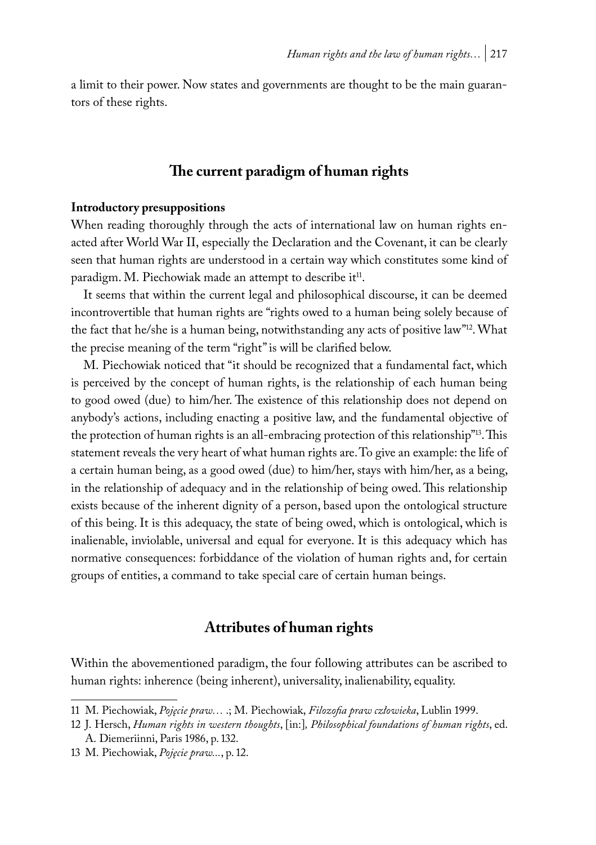a limit to their power. Now states and governments are thought to be the main guarantors of these rights.

## **The current paradigm of human rights**

#### **Introductory presuppositions**

When reading thoroughly through the acts of international law on human rights enacted after World War II, especially the Declaration and the Covenant, it can be clearly seen that human rights are understood in a certain way which constitutes some kind of paradigm. M. Piechowiak made an attempt to describe it<sup>11</sup>.

It seems that within the current legal and philosophical discourse, it can be deemed incontrovertible that human rights are "rights owed to a human being solely because of the fact that he/she is a human being, notwithstanding any acts of positive law"12. What the precise meaning of the term "right" is will be clarified below.

M. Piechowiak noticed that "it should be recognized that a fundamental fact, which is perceived by the concept of human rights, is the relationship of each human being to good owed (due) to him/her. The existence of this relationship does not depend on anybody's actions, including enacting a positive law, and the fundamental objective of the protection of human rights is an all-embracing protection of this relationship"13. This statement reveals the very heart of what human rights are. To give an example: the life of a certain human being, as a good owed (due) to him/her, stays with him/her, as a being, in the relationship of adequacy and in the relationship of being owed. This relationship exists because of the inherent dignity of a person, based upon the ontological structure of this being. It is this adequacy, the state of being owed, which is ontological, which is inalienable, inviolable, universal and equal for everyone. It is this adequacy which has normative consequences: forbiddance of the violation of human rights and, for certain groups of entities, a command to take special care of certain human beings.

## **Attributes of human rights**

Within the abovementioned paradigm, the four following attributes can be ascribed to human rights: inherence (being inherent), universality, inalienability, equality.

<sup>11</sup> M. Piechowiak, *Pojęcie praw…* .; M. Piechowiak, *Filozofia praw człowieka*, Lublin 1999.

<sup>12</sup> J. Hersch, *Human rights in western thoughts*, [in:]*, Philosophical foundations of human rights*, ed. A. Diemeriinni, Paris 1986, p. 132.

<sup>13</sup> M. Piechowiak, *Pojęcie praw...*, p. 12.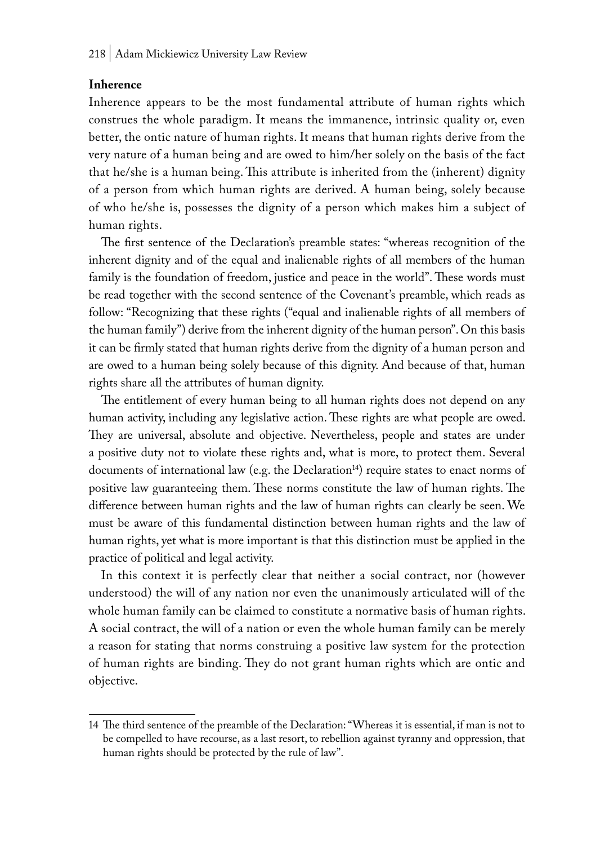#### **Inherence**

Inherence appears to be the most fundamental attribute of human rights which construes the whole paradigm. It means the immanence, intrinsic quality or, even better, the ontic nature of human rights. It means that human rights derive from the very nature of a human being and are owed to him/her solely on the basis of the fact that he/she is a human being. This attribute is inherited from the (inherent) dignity of a person from which human rights are derived. A human being, solely because of who he/she is, possesses the dignity of a person which makes him a subject of human rights.

The first sentence of the Declaration's preamble states: "whereas recognition of the inherent dignity and of the equal and inalienable rights of all members of the human family is the foundation of freedom, justice and peace in the world". These words must be read together with the second sentence of the Covenant's preamble, which reads as follow: "Recognizing that these rights ("equal and inalienable rights of all members of the human family") derive from the inherent dignity of the human person". On this basis it can be firmly stated that human rights derive from the dignity of a human person and are owed to a human being solely because of this dignity. And because of that, human rights share all the attributes of human dignity.

The entitlement of every human being to all human rights does not depend on any human activity, including any legislative action. These rights are what people are owed. They are universal, absolute and objective. Nevertheless, people and states are under a positive duty not to violate these rights and, what is more, to protect them. Several documents of international law (e.g. the Declaration<sup>14</sup>) require states to enact norms of positive law guaranteeing them. These norms constitute the law of human rights. The difference between human rights and the law of human rights can clearly be seen. We must be aware of this fundamental distinction between human rights and the law of human rights, yet what is more important is that this distinction must be applied in the practice of political and legal activity.

In this context it is perfectly clear that neither a social contract, nor (however understood) the will of any nation nor even the unanimously articulated will of the whole human family can be claimed to constitute a normative basis of human rights. A social contract, the will of a nation or even the whole human family can be merely a reason for stating that norms construing a positive law system for the protection of human rights are binding. They do not grant human rights which are ontic and objective.

<sup>14</sup> The third sentence of the preamble of the Declaration: "Whereas it is essential, if man is not to be compelled to have recourse, as a last resort, to rebellion against tyranny and oppression, that human rights should be protected by the rule of law".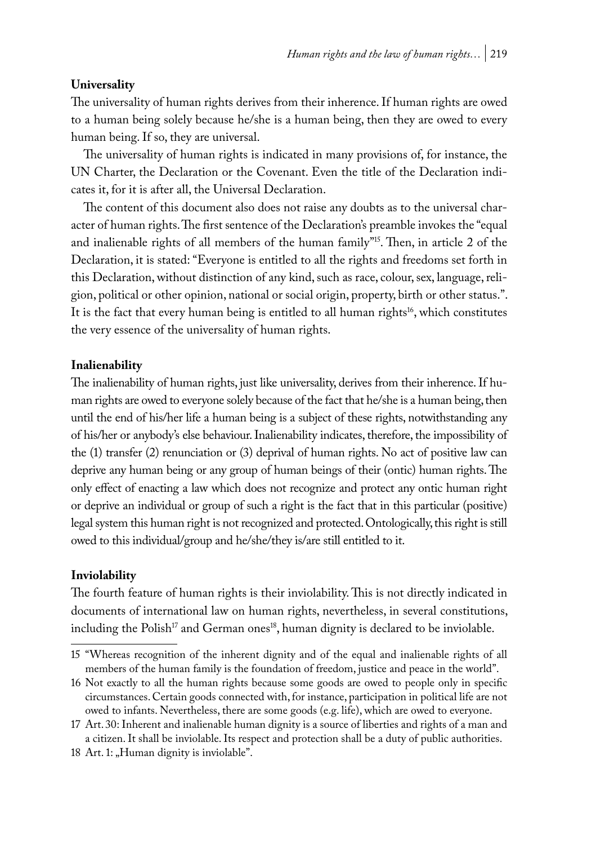### **Universality**

The universality of human rights derives from their inherence. If human rights are owed to a human being solely because he/she is a human being, then they are owed to every human being. If so, they are universal.

The universality of human rights is indicated in many provisions of, for instance, the UN Charter, the Declaration or the Covenant. Even the title of the Declaration indicates it, for it is after all, the Universal Declaration.

The content of this document also does not raise any doubts as to the universal character of human rights. The first sentence of the Declaration's preamble invokes the "equal and inalienable rights of all members of the human family"15. Then, in article 2 of the Declaration, it is stated: "Everyone is entitled to all the rights and freedoms set forth in this Declaration, without distinction of any kind, such as race, colour, sex, language, religion, political or other opinion, national or social origin, property, birth or other status.". It is the fact that every human being is entitled to all human rights<sup>16</sup>, which constitutes the very essence of the universality of human rights.

### **Inalienability**

The inalienability of human rights, just like universality, derives from their inherence. If human rights are owed to everyone solely because of the fact that he/she is a human being, then until the end of his/her life a human being is a subject of these rights, notwithstanding any of his/her or anybody's else behaviour. Inalienability indicates, therefore, the impossibility of the (1) transfer (2) renunciation or (3) deprival of human rights. No act of positive law can deprive any human being or any group of human beings of their (ontic) human rights. The only effect of enacting a law which does not recognize and protect any ontic human right or deprive an individual or group of such a right is the fact that in this particular (positive) legal system this human right is not recognized and protected. Ontologically, this right is still owed to this individual/group and he/she/they is/are still entitled to it.

#### **Inviolability**

The fourth feature of human rights is their inviolability. This is not directly indicated in documents of international law on human rights, nevertheless, in several constitutions, including the Polish<sup>17</sup> and German ones<sup>18</sup>, human dignity is declared to be inviolable.

<sup>15</sup> "Whereas recognition of the inherent dignity and of the equal and inalienable rights of all members of the human family is the foundation of freedom, justice and peace in the world".

<sup>16</sup> Not exactly to all the human rights because some goods are owed to people only in specific circumstances. Certain goods connected with, for instance, participation in political life are not owed to infants. Nevertheless, there are some goods (e.g. life), which are owed to everyone.

<sup>17</sup> Art. 30: Inherent and inalienable human dignity is a source of liberties and rights of a man and a citizen. It shall be inviolable. Its respect and protection shall be a duty of public authorities.

<sup>18</sup> Art. 1: "Human dignity is inviolable".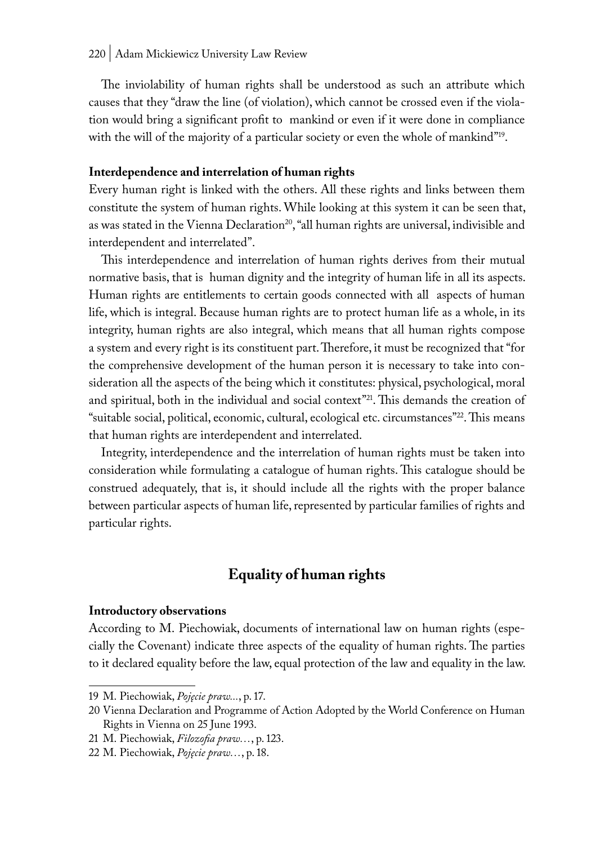The inviolability of human rights shall be understood as such an attribute which causes that they "draw the line (of violation), which cannot be crossed even if the violation would bring a significant profit to mankind or even if it were done in compliance with the will of the majority of a particular society or even the whole of mankind"<sup>19</sup>.

#### **Interdependence and interrelation of human rights**

Every human right is linked with the others. All these rights and links between them constitute the system of human rights. While looking at this system it can be seen that, as was stated in the Vienna Declaration<sup>20</sup>, "all human rights are universal, indivisible and interdependent and interrelated".

This interdependence and interrelation of human rights derives from their mutual normative basis, that is human dignity and the integrity of human life in all its aspects. Human rights are entitlements to certain goods connected with all aspects of human life, which is integral. Because human rights are to protect human life as a whole, in its integrity, human rights are also integral, which means that all human rights compose a system and every right is its constituent part. Therefore, it must be recognized that "for the comprehensive development of the human person it is necessary to take into consideration all the aspects of the being which it constitutes: physical, psychological, moral and spiritual, both in the individual and social context"<sup>21</sup>. This demands the creation of "suitable social, political, economic, cultural, ecological etc. circumstances"22. This means that human rights are interdependent and interrelated.

Integrity, interdependence and the interrelation of human rights must be taken into consideration while formulating a catalogue of human rights. This catalogue should be construed adequately, that is, it should include all the rights with the proper balance between particular aspects of human life, represented by particular families of rights and particular rights.

## **Equality of human rights**

#### **Introductory observations**

According to M. Piechowiak, documents of international law on human rights (especially the Covenant) indicate three aspects of the equality of human rights. The parties to it declared equality before the law, equal protection of the law and equality in the law.

<sup>19</sup> M. Piechowiak, *Pojęcie praw...*, p. 17.

<sup>20</sup> Vienna Declaration and Programme of Action Adopted by the World Conference on Human Rights in Vienna on 25 June 1993.

<sup>21</sup> M. Piechowiak, *Filozofia praw…*, p. 123.

<sup>22</sup> M. Piechowiak, *Pojęcie praw…*, p. 18.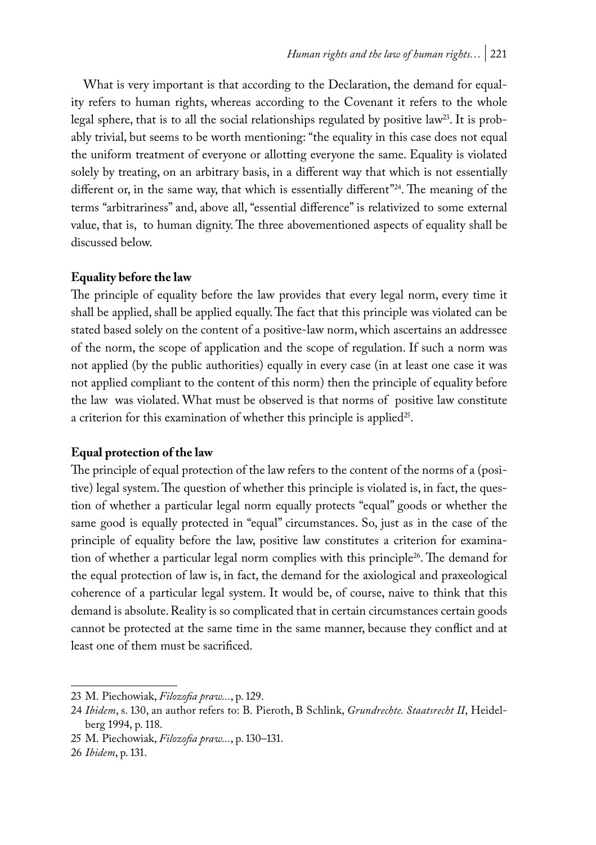What is very important is that according to the Declaration, the demand for equality refers to human rights, whereas according to the Covenant it refers to the whole legal sphere, that is to all the social relationships regulated by positive law<sup>23</sup>. It is probably trivial, but seems to be worth mentioning: "the equality in this case does not equal the uniform treatment of everyone or allotting everyone the same. Equality is violated solely by treating, on an arbitrary basis, in a different way that which is not essentially different or, in the same way, that which is essentially different"24. The meaning of the terms "arbitrariness" and, above all, "essential difference" is relativized to some external value, that is, to human dignity. The three abovementioned aspects of equality shall be discussed below.

## **Equality before the law**

The principle of equality before the law provides that every legal norm, every time it shall be applied, shall be applied equally. The fact that this principle was violated can be stated based solely on the content of a positive-law norm, which ascertains an addressee of the norm, the scope of application and the scope of regulation. If such a norm was not applied (by the public authorities) equally in every case (in at least one case it was not applied compliant to the content of this norm) then the principle of equality before the law was violated. What must be observed is that norms of positive law constitute a criterion for this examination of whether this principle is applied<sup>25</sup>.

## **Equal protection of the law**

The principle of equal protection of the law refers to the content of the norms of a (positive) legal system. The question of whether this principle is violated is, in fact, the question of whether a particular legal norm equally protects "equal" goods or whether the same good is equally protected in "equal" circumstances. So, just as in the case of the principle of equality before the law, positive law constitutes a criterion for examination of whether a particular legal norm complies with this principle26. The demand for the equal protection of law is, in fact, the demand for the axiological and praxeological coherence of a particular legal system. It would be, of course, naive to think that this demand is absolute. Reality is so complicated that in certain circumstances certain goods cannot be protected at the same time in the same manner, because they conflict and at least one of them must be sacrificed.

<sup>23</sup> M. Piechowiak, *Filozofia praw...*, p. 129.

<sup>24</sup> *Ibidem*, s. 130, an author refers to: B. Pieroth, B Schlink, *Grundrechte. Staatsrecht II*, Heidelberg 1994, p. 118.

<sup>25</sup> M. Piechowiak, *Filozofia praw...*, p. 130–131.

<sup>26</sup> *Ibidem*, p. 131.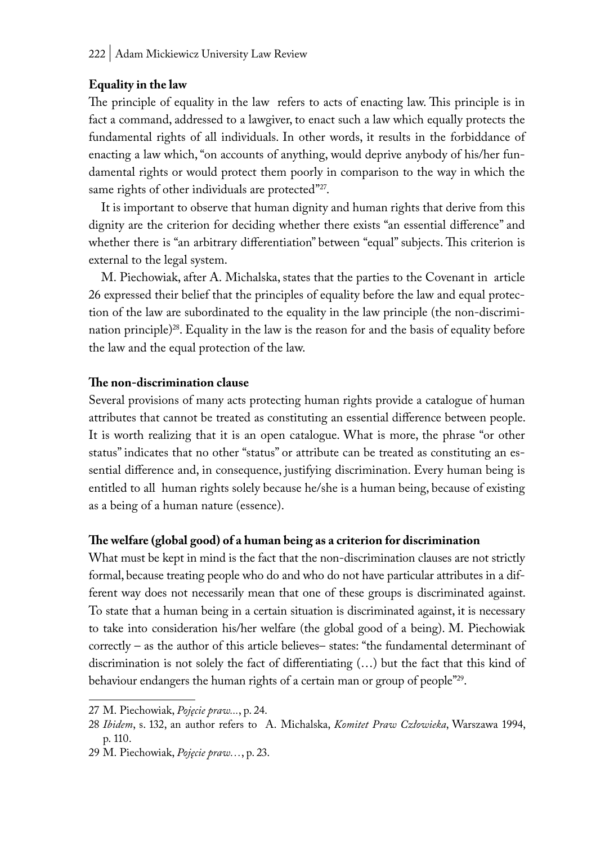## **Equality in the law**

The principle of equality in the law refers to acts of enacting law. This principle is in fact a command, addressed to a lawgiver, to enact such a law which equally protects the fundamental rights of all individuals. In other words, it results in the forbiddance of enacting a law which, "on accounts of anything, would deprive anybody of his/her fundamental rights or would protect them poorly in comparison to the way in which the same rights of other individuals are protected"27.

It is important to observe that human dignity and human rights that derive from this dignity are the criterion for deciding whether there exists "an essential difference" and whether there is "an arbitrary differentiation" between "equal" subjects. This criterion is external to the legal system.

M. Piechowiak, after A. Michalska, states that the parties to the Covenant in article 26 expressed their belief that the principles of equality before the law and equal protection of the law are subordinated to the equality in the law principle (the non-discrimination principle)28. Equality in the law is the reason for and the basis of equality before the law and the equal protection of the law.

### **The non-discrimination clause**

Several provisions of many acts protecting human rights provide a catalogue of human attributes that cannot be treated as constituting an essential difference between people. It is worth realizing that it is an open catalogue. What is more, the phrase "or other status" indicates that no other "status" or attribute can be treated as constituting an essential difference and, in consequence, justifying discrimination. Every human being is entitled to all human rights solely because he/she is a human being, because of existing as a being of a human nature (essence).

## **The welfare (global good) of a human being as a criterion for discrimination**

What must be kept in mind is the fact that the non-discrimination clauses are not strictly formal, because treating people who do and who do not have particular attributes in a different way does not necessarily mean that one of these groups is discriminated against. To state that a human being in a certain situation is discriminated against, it is necessary to take into consideration his/her welfare (the global good of a being). M. Piechowiak correctly – as the author of this article believes– states: "the fundamental determinant of discrimination is not solely the fact of differentiating (…) but the fact that this kind of behaviour endangers the human rights of a certain man or group of people"29.

<sup>27</sup> M. Piechowiak, *Pojęcie praw...*, p. 24.

<sup>28</sup> *Ibidem*, s. 132, an author refers to A. Michalska, *Komitet Praw Człowieka*, Warszawa 1994, p. 110.

<sup>29</sup> M. Piechowiak, *Pojęcie praw…*, p. 23.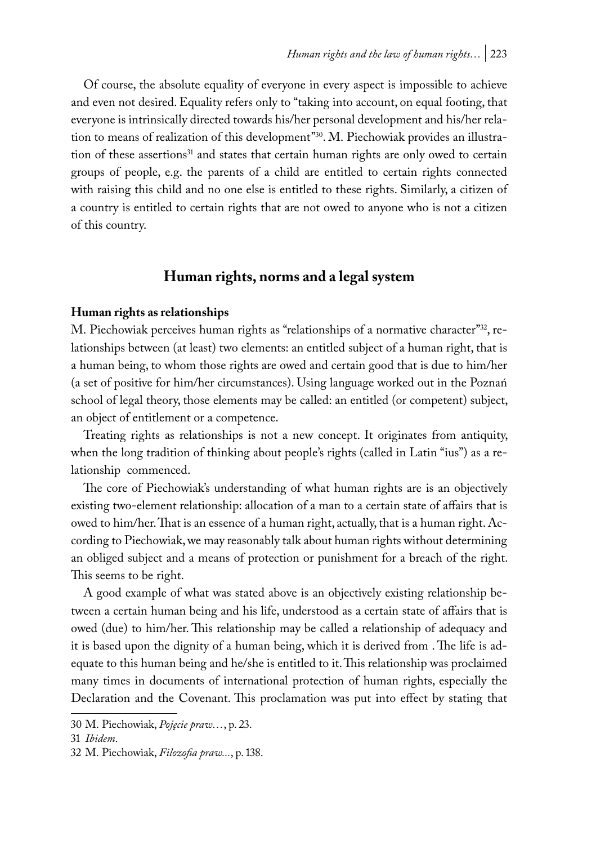Of course, the absolute equality of everyone in every aspect is impossible to achieve and even not desired. Equality refers only to "taking into account, on equal footing, that everyone is intrinsically directed towards his/her personal development and his/her relation to means of realization of this development"30. M. Piechowiak provides an illustration of these assertions<sup>31</sup> and states that certain human rights are only owed to certain groups of people, e.g. the parents of a child are entitled to certain rights connected with raising this child and no one else is entitled to these rights. Similarly, a citizen of a country is entitled to certain rights that are not owed to anyone who is not a citizen of this country.

## **Human rights, norms and a legal system**

#### **Human rights as relationships**

M. Piechowiak perceives human rights as "relationships of a normative character"<sup>32</sup>, relationships between (at least) two elements: an entitled subject of a human right, that is a human being, to whom those rights are owed and certain good that is due to him/her (a set of positive for him/her circumstances). Using language worked out in the Poznań school of legal theory, those elements may be called: an entitled (or competent) subject, an object of entitlement or a competence.

Treating rights as relationships is not a new concept. It originates from antiquity, when the long tradition of thinking about people's rights (called in Latin "ius") as a relationship commenced.

The core of Piechowiak's understanding of what human rights are is an objectively existing two-element relationship: allocation of a man to a certain state of affairs that is owed to him/her. That is an essence of a human right, actually, that is a human right. According to Piechowiak, we may reasonably talk about human rights without determining an obliged subject and a means of protection or punishment for a breach of the right. This seems to be right.

A good example of what was stated above is an objectively existing relationship between a certain human being and his life, understood as a certain state of affairs that is owed (due) to him/her. This relationship may be called a relationship of adequacy and it is based upon the dignity of a human being, which it is derived from . The life is adequate to this human being and he/she is entitled to it. This relationship was proclaimed many times in documents of international protection of human rights, especially the Declaration and the Covenant. This proclamation was put into effect by stating that

<sup>30</sup> M. Piechowiak, *Pojęcie praw…*, p. 23.

<sup>31</sup> *Ibidem*.

<sup>32</sup> M. Piechowiak, *Filozofia praw...*, p. 138.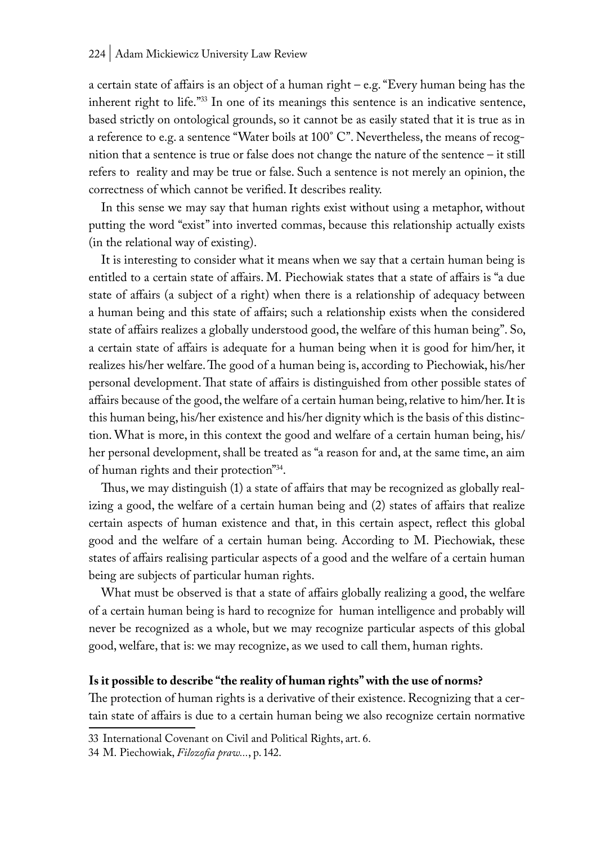a certain state of affairs is an object of a human right – e.g. "Every human being has the inherent right to life."33 In one of its meanings this sentence is an indicative sentence, based strictly on ontological grounds, so it cannot be as easily stated that it is true as in a reference to e.g. a sentence "Water boils at 100° C". Nevertheless, the means of recognition that a sentence is true or false does not change the nature of the sentence – it still refers to reality and may be true or false. Such a sentence is not merely an opinion, the correctness of which cannot be verified. It describes reality.

In this sense we may say that human rights exist without using a metaphor, without putting the word "exist" into inverted commas, because this relationship actually exists (in the relational way of existing).

It is interesting to consider what it means when we say that a certain human being is entitled to a certain state of affairs. M. Piechowiak states that a state of affairs is "a due state of affairs (a subject of a right) when there is a relationship of adequacy between a human being and this state of affairs; such a relationship exists when the considered state of affairs realizes a globally understood good, the welfare of this human being". So, a certain state of affairs is adequate for a human being when it is good for him/her, it realizes his/her welfare. The good of a human being is, according to Piechowiak, his/her personal development. That state of affairs is distinguished from other possible states of affairs because of the good, the welfare of a certain human being, relative to him/her. It is this human being, his/her existence and his/her dignity which is the basis of this distinction. What is more, in this context the good and welfare of a certain human being, his/ her personal development, shall be treated as "a reason for and, at the same time, an aim of human rights and their protection"34.

Thus, we may distinguish (1) a state of affairs that may be recognized as globally realizing a good, the welfare of a certain human being and (2) states of affairs that realize certain aspects of human existence and that, in this certain aspect, reflect this global good and the welfare of a certain human being. According to M. Piechowiak, these states of affairs realising particular aspects of a good and the welfare of a certain human being are subjects of particular human rights.

What must be observed is that a state of affairs globally realizing a good, the welfare of a certain human being is hard to recognize for human intelligence and probably will never be recognized as a whole, but we may recognize particular aspects of this global good, welfare, that is: we may recognize, as we used to call them, human rights.

#### **Is it possible to describe "the reality of human rights" with the use of norms?**

The protection of human rights is a derivative of their existence. Recognizing that a certain state of affairs is due to a certain human being we also recognize certain normative

<sup>33</sup> International Covenant on Civil and Political Rights, art. 6.

<sup>34</sup> M. Piechowiak, *Filozofia praw...*, p. 142.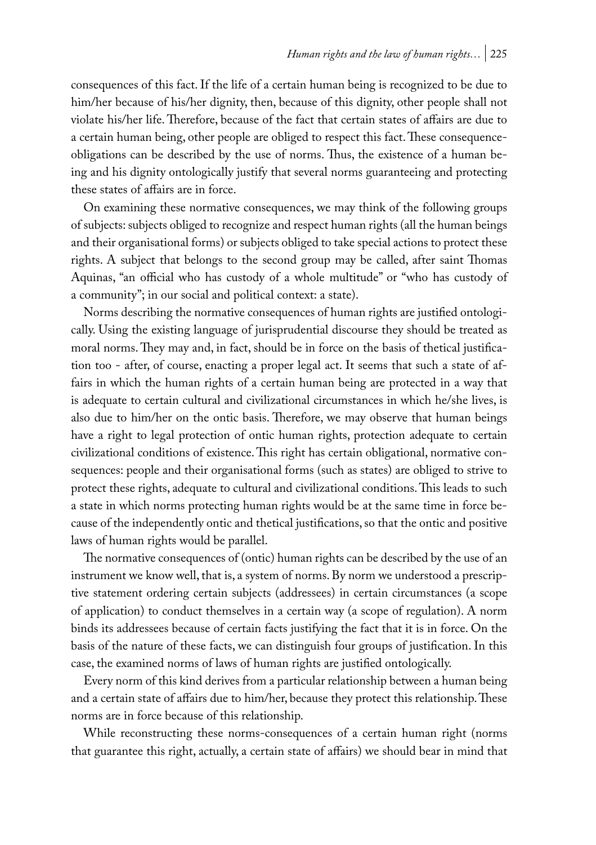consequences of this fact. If the life of a certain human being is recognized to be due to him/her because of his/her dignity, then, because of this dignity, other people shall not violate his/her life. Therefore, because of the fact that certain states of affairs are due to a certain human being, other people are obliged to respect this fact. These consequenceobligations can be described by the use of norms. Thus, the existence of a human being and his dignity ontologically justify that several norms guaranteeing and protecting these states of affairs are in force.

On examining these normative consequences, we may think of the following groups of subjects: subjects obliged to recognize and respect human rights (all the human beings and their organisational forms) or subjects obliged to take special actions to protect these rights. A subject that belongs to the second group may be called, after saint Thomas Aquinas, "an official who has custody of a whole multitude" or "who has custody of a community"; in our social and political context: a state).

Norms describing the normative consequences of human rights are justified ontologically. Using the existing language of jurisprudential discourse they should be treated as moral norms. They may and, in fact, should be in force on the basis of thetical justification too - after, of course, enacting a proper legal act. It seems that such a state of affairs in which the human rights of a certain human being are protected in a way that is adequate to certain cultural and civilizational circumstances in which he/she lives, is also due to him/her on the ontic basis. Therefore, we may observe that human beings have a right to legal protection of ontic human rights, protection adequate to certain civilizational conditions of existence. This right has certain obligational, normative consequences: people and their organisational forms (such as states) are obliged to strive to protect these rights, adequate to cultural and civilizational conditions. This leads to such a state in which norms protecting human rights would be at the same time in force because of the independently ontic and thetical justifications, so that the ontic and positive laws of human rights would be parallel.

The normative consequences of (ontic) human rights can be described by the use of an instrument we know well, that is, a system of norms. By norm we understood a prescriptive statement ordering certain subjects (addressees) in certain circumstances (a scope of application) to conduct themselves in a certain way (a scope of regulation). A norm binds its addressees because of certain facts justifying the fact that it is in force. On the basis of the nature of these facts, we can distinguish four groups of justification. In this case, the examined norms of laws of human rights are justified ontologically.

Every norm of this kind derives from a particular relationship between a human being and a certain state of affairs due to him/her, because they protect this relationship. These norms are in force because of this relationship.

While reconstructing these norms-consequences of a certain human right (norms that guarantee this right, actually, a certain state of affairs) we should bear in mind that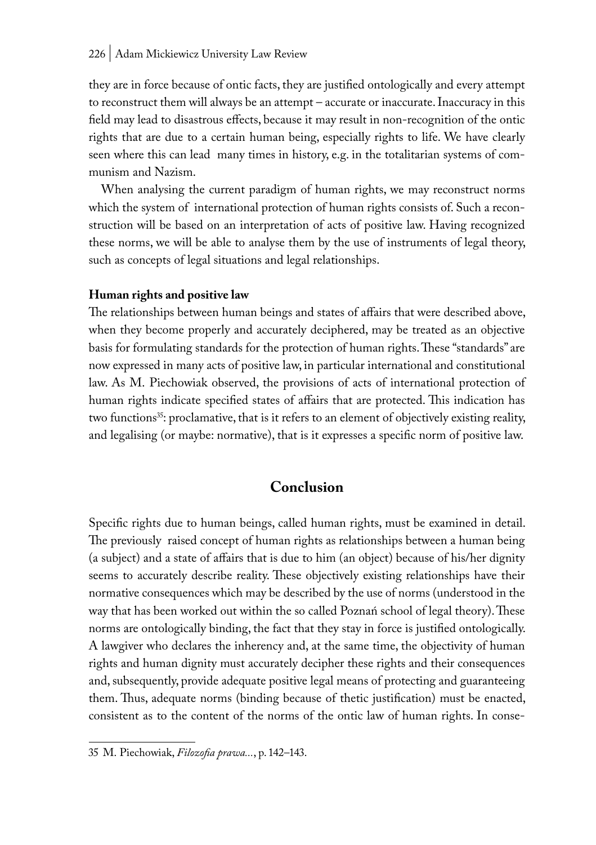#### 226 | Adam Mickiewicz University Law Review

they are in force because of ontic facts, they are justified ontologically and every attempt to reconstruct them will always be an attempt – accurate or inaccurate. Inaccuracy in this field may lead to disastrous effects, because it may result in non-recognition of the ontic rights that are due to a certain human being, especially rights to life. We have clearly seen where this can lead many times in history, e.g. in the totalitarian systems of communism and Nazism.

When analysing the current paradigm of human rights, we may reconstruct norms which the system of international protection of human rights consists of. Such a reconstruction will be based on an interpretation of acts of positive law. Having recognized these norms, we will be able to analyse them by the use of instruments of legal theory, such as concepts of legal situations and legal relationships.

#### **Human rights and positive law**

The relationships between human beings and states of affairs that were described above, when they become properly and accurately deciphered, may be treated as an objective basis for formulating standards for the protection of human rights. These "standards" are now expressed in many acts of positive law, in particular international and constitutional law. As M. Piechowiak observed, the provisions of acts of international protection of human rights indicate specified states of affairs that are protected. This indication has two functions<sup>35</sup>: proclamative, that is it refers to an element of objectively existing reality, and legalising (or maybe: normative), that is it expresses a specific norm of positive law.

## **Conclusion**

Specific rights due to human beings, called human rights, must be examined in detail. The previously raised concept of human rights as relationships between a human being (a subject) and a state of affairs that is due to him (an object) because of his/her dignity seems to accurately describe reality. These objectively existing relationships have their normative consequences which may be described by the use of norms (understood in the way that has been worked out within the so called Poznań school of legal theory). These norms are ontologically binding, the fact that they stay in force is justified ontologically. A lawgiver who declares the inherency and, at the same time, the objectivity of human rights and human dignity must accurately decipher these rights and their consequences and, subsequently, provide adequate positive legal means of protecting and guaranteeing them. Thus, adequate norms (binding because of thetic justification) must be enacted, consistent as to the content of the norms of the ontic law of human rights. In conse-

<sup>35</sup> M. Piechowiak, *Filozofia prawa...*, p. 142–143.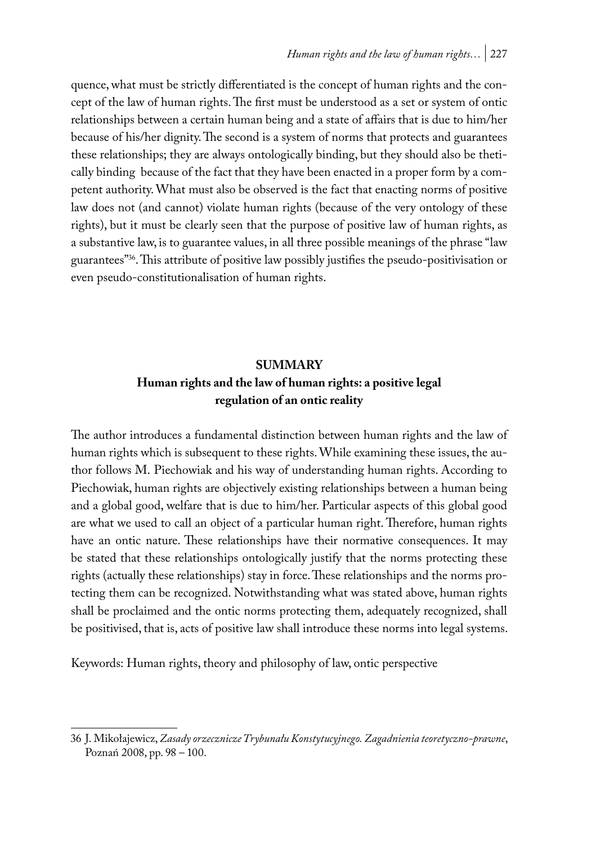quence, what must be strictly differentiated is the concept of human rights and the concept of the law of human rights. The first must be understood as a set or system of ontic relationships between a certain human being and a state of affairs that is due to him/her because of his/her dignity. The second is a system of norms that protects and guarantees these relationships; they are always ontologically binding, but they should also be thetically binding because of the fact that they have been enacted in a proper form by a competent authority. What must also be observed is the fact that enacting norms of positive law does not (and cannot) violate human rights (because of the very ontology of these rights), but it must be clearly seen that the purpose of positive law of human rights, as a substantive law, is to guarantee values, in all three possible meanings of the phrase "law guarantees"36. This attribute of positive law possibly justifies the pseudo-positivisation or even pseudo-constitutionalisation of human rights.

## **SUMMARY**

## **Human rights and the law of human rights: a positive legal regulation of an ontic reality**

The author introduces a fundamental distinction between human rights and the law of human rights which is subsequent to these rights. While examining these issues, the author follows M. Piechowiak and his way of understanding human rights. According to Piechowiak, human rights are objectively existing relationships between a human being and a global good, welfare that is due to him/her. Particular aspects of this global good are what we used to call an object of a particular human right. Therefore, human rights have an ontic nature. These relationships have their normative consequences. It may be stated that these relationships ontologically justify that the norms protecting these rights (actually these relationships) stay in force. These relationships and the norms protecting them can be recognized. Notwithstanding what was stated above, human rights shall be proclaimed and the ontic norms protecting them, adequately recognized, shall be positivised, that is, acts of positive law shall introduce these norms into legal systems.

Keywords: Human rights, theory and philosophy of law, ontic perspective

<sup>36</sup> J. Mikołajewicz, *Zasady orzecznicze Trybunału Konstytucyjnego. Zagadnienia teoretyczno-prawne*, Poznań 2008, pp. 98 – 100.